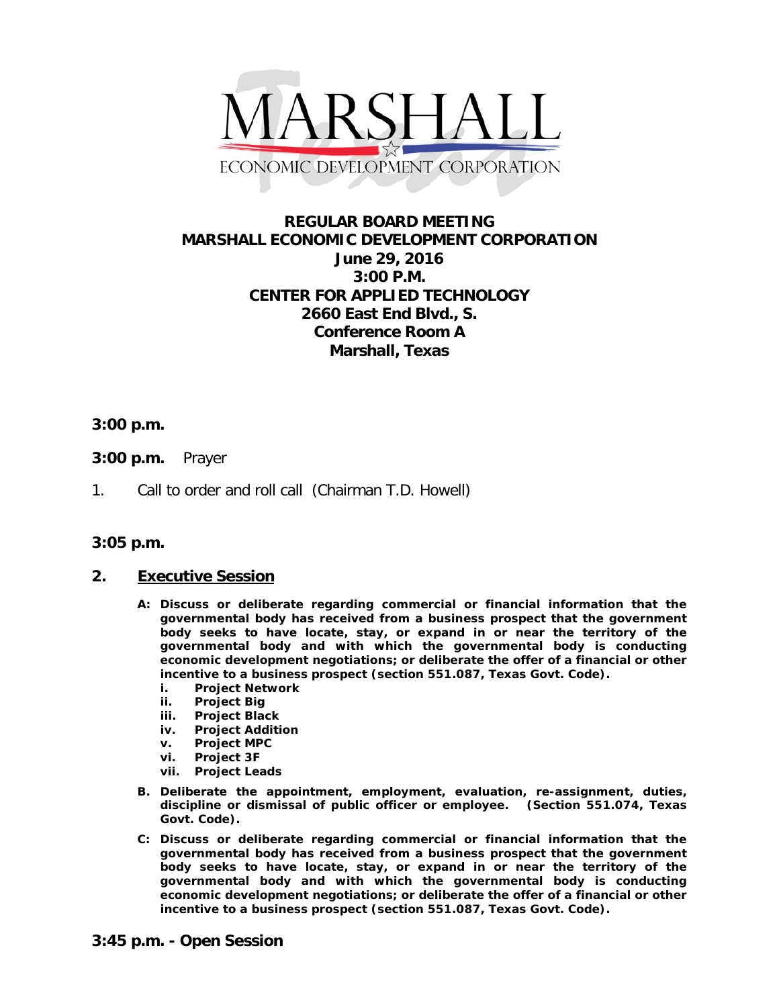

# **REGULAR BOARD MEETING MARSHALL ECONOMIC DEVELOPMENT CORPORATION June 29, 2016 3:00 P.M. CENTER FOR APPLIED TECHNOLOGY 2660 East End Blvd., S. Conference Room A Marshall, Texas**

## **3:00 p.m.**

- **3:00 p.m.** Prayer
- 1. Call to order and roll call (Chairman T.D. Howell)

#### **3:05 p.m.**

#### **2. Executive Session**

- **A: Discuss or deliberate regarding commercial or financial information that the governmental body has received from a business prospect that the government body seeks to have locate, stay, or expand in or near the territory of the governmental body and with which the governmental body is conducting economic development negotiations; or deliberate the offer of a financial or other incentive to a business prospect (section 551.087, Texas Govt. Code).**
	- **i. Project Network**
	- **ii. Project Big**
	- **iii. Project Black**
	- **iv. Project Addition**
	- **v. Project MPC**
	- **vi. Project 3F**
	- **vii. Project Leads**
- **B. Deliberate the appointment, employment, evaluation, re-assignment, duties, discipline or dismissal of public officer or employee. (Section 551.074, Texas Govt. Code).**
- **C: Discuss or deliberate regarding commercial or financial information that the governmental body has received from a business prospect that the government body seeks to have locate, stay, or expand in or near the territory of the governmental body and with which the governmental body is conducting economic development negotiations; or deliberate the offer of a financial or other incentive to a business prospect (section 551.087, Texas Govt. Code).**